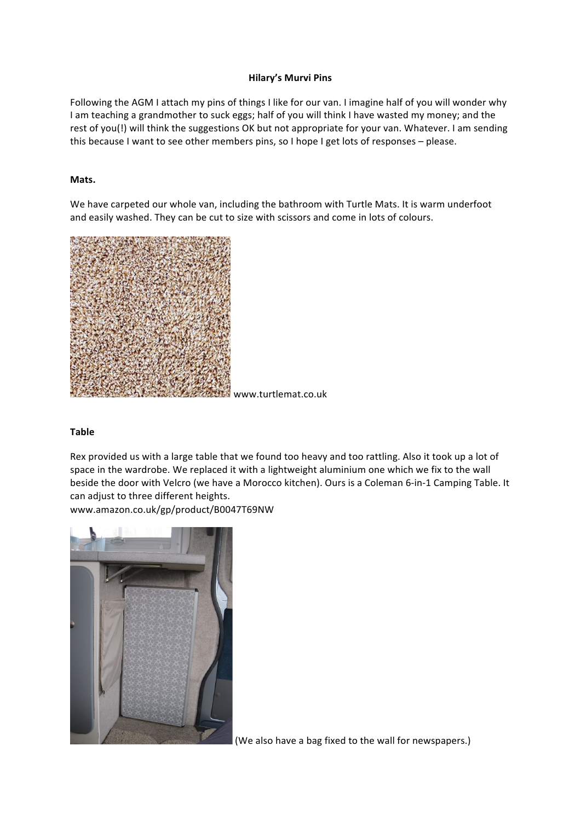# **Hilary's Murvi Pins**

Following the AGM I attach my pins of things I like for our van. I imagine half of you will wonder why I am teaching a grandmother to suck eggs; half of you will think I have wasted my money; and the rest of you(!) will think the suggestions OK but not appropriate for your van. Whatever. I am sending this because I want to see other members pins, so I hope I get lots of responses – please.

# **Mats.**

We have carpeted our whole van, including the bathroom with Turtle Mats. It is warm underfoot and easily washed. They can be cut to size with scissors and come in lots of colours.



www.turtlemat.co.uk

# **Table**

Rex provided us with a large table that we found too heavy and too rattling. Also it took up a lot of space in the wardrobe. We replaced it with a lightweight aluminium one which we fix to the wall beside the door with Velcro (we have a Morocco kitchen). Ours is a Coleman 6-in-1 Camping Table. It can adjust to three different heights.

www.amazon.co.uk/gp/product/B0047T69NW



(We also have a bag fixed to the wall for newspapers.)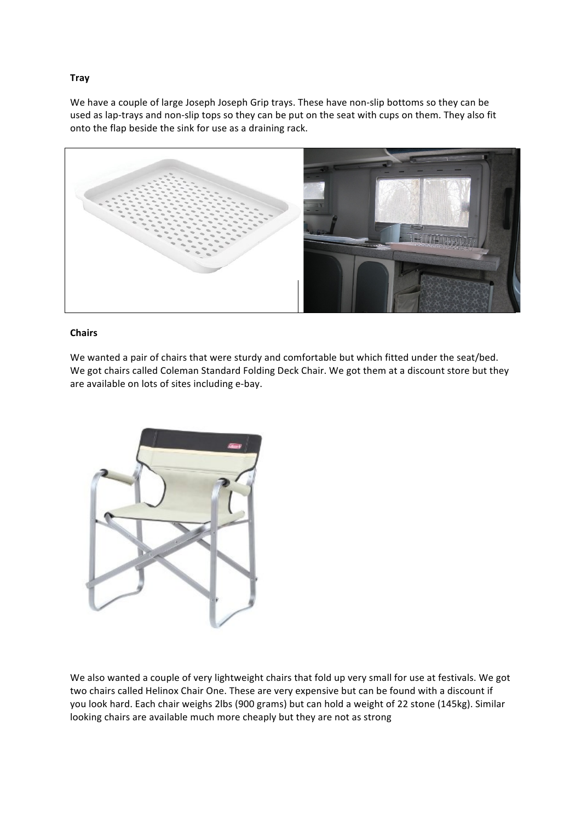# **Tray**

We have a couple of large Joseph Joseph Grip trays. These have non-slip bottoms so they can be used as lap-trays and non-slip tops so they can be put on the seat with cups on them. They also fit onto the flap beside the sink for use as a draining rack.



### **Chairs**

We wanted a pair of chairs that were sturdy and comfortable but which fitted under the seat/bed. We got chairs called Coleman Standard Folding Deck Chair. We got them at a discount store but they are available on lots of sites including e-bay.



We also wanted a couple of very lightweight chairs that fold up very small for use at festivals. We got two chairs called Helinox Chair One. These are very expensive but can be found with a discount if you look hard. Each chair weighs 2lbs (900 grams) but can hold a weight of 22 stone (145kg). Similar looking chairs are available much more cheaply but they are not as strong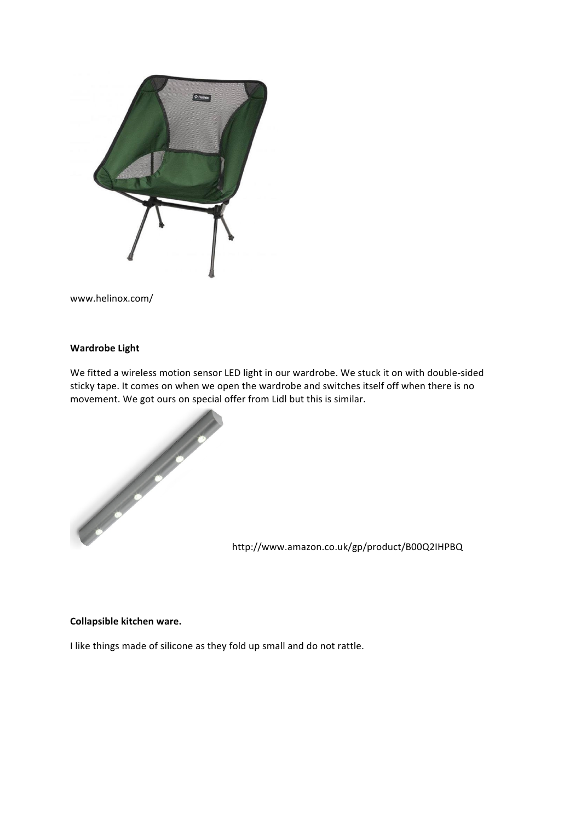

www.helinox.com/

# **Wardrobe Light**

We fitted a wireless motion sensor LED light in our wardrobe. We stuck it on with double-sided sticky tape. It comes on when we open the wardrobe and switches itself off when there is no movement. We got ours on special offer from Lidl but this is similar.



http://www.amazon.co.uk/gp/product/B00Q2IHPBQ

#### **Collapsible kitchen ware.**

I like things made of silicone as they fold up small and do not rattle.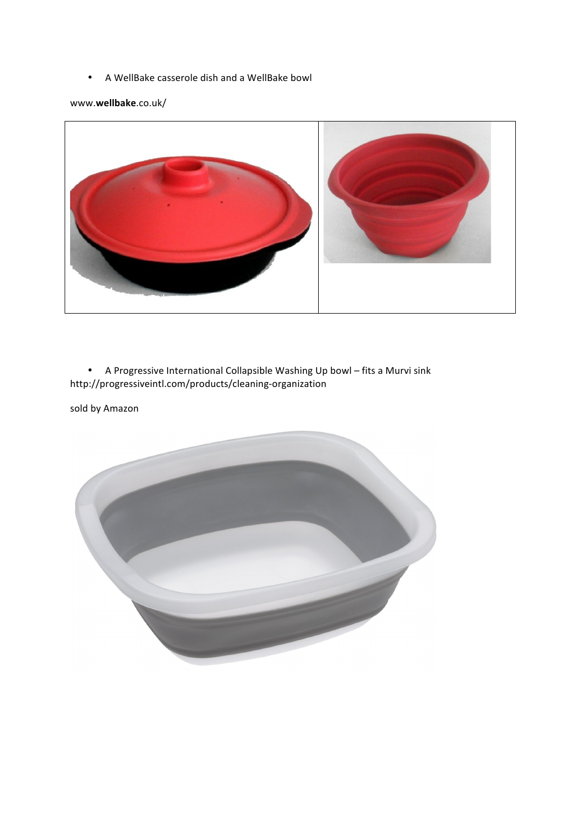• A WellBake casserole dish and a WellBake bowl

www.**wellbake**.co.uk/



• A Progressive International Collapsible Washing Up bowl – fits a Murvi sink http://progressiveintl.com/products/cleaning-organization

sold by Amazon

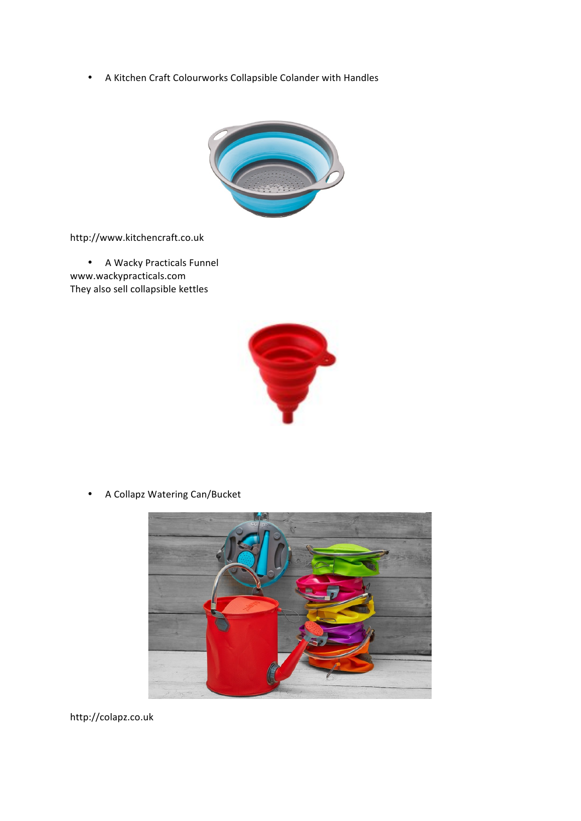• A Kitchen Craft Colourworks Collapsible Colander with Handles



http://www.kitchencraft.co.uk

• A Wacky Practicals Funnel www.wackypracticals.com They also sell collapsible kettles



• A Collapz Watering Can/Bucket



http://colapz.co.uk